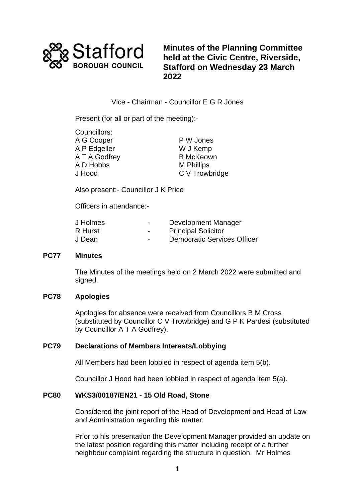

**Minutes of the Planning Committee held at the Civic Centre, Riverside, Stafford on Wednesday 23 March 2022**

Vice - Chairman - Councillor E G R Jones

Present (for all or part of the meeting):-

| Councillors:  |                   |
|---------------|-------------------|
| A G Cooper    | P W Jones         |
| A P Edgeller  | W J Kemp          |
| A T A Godfrey | <b>B McKeown</b>  |
| A D Hobbs     | <b>M</b> Phillips |
| J Hood        | C V Trowbridge    |
|               |                   |

Also present:- Councillor J K Price

Officers in attendance:-

| J Holmes | $\overline{\phantom{0}}$ | Development Manager                |
|----------|--------------------------|------------------------------------|
| R Hurst  | $\blacksquare$           | <b>Principal Solicitor</b>         |
| J Dean   | $\overline{\phantom{0}}$ | <b>Democratic Services Officer</b> |

#### **PC77 Minutes**

The Minutes of the meetings held on 2 March 2022 were submitted and signed.

# **PC78 Apologies**

Apologies for absence were received from Councillors B M Cross (substituted by Councillor C V Trowbridge) and G P K Pardesi (substituted by Councillor A T A Godfrey).

# **PC79 Declarations of Members Interests/Lobbying**

All Members had been lobbied in respect of agenda item 5(b).

Councillor J Hood had been lobbied in respect of agenda item 5(a).

# **PC80 WKS3/00187/EN21 - 15 Old Road, Stone**

Considered the joint report of the Head of Development and Head of Law and Administration regarding this matter.

Prior to his presentation the Development Manager provided an update on the latest position regarding this matter including receipt of a further neighbour complaint regarding the structure in question. Mr Holmes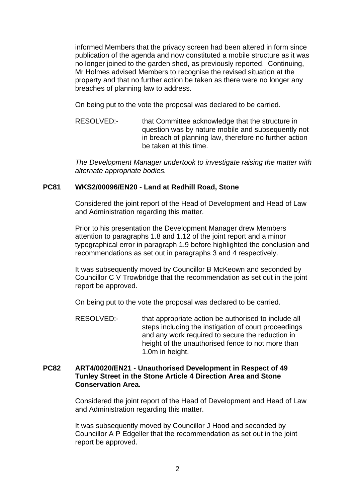informed Members that the privacy screen had been altered in form since publication of the agenda and now constituted a mobile structure as it was no longer joined to the garden shed, as previously reported. Continuing, Mr Holmes advised Members to recognise the revised situation at the property and that no further action be taken as there were no longer any breaches of planning law to address.

On being put to the vote the proposal was declared to be carried.

RESOLVED:- that Committee acknowledge that the structure in question was by nature mobile and subsequently not in breach of planning law, therefore no further action be taken at this time.

*The Development Manager undertook to investigate raising the matter with alternate appropriate bodies.*

#### **PC81 WKS2/00096/EN20 - Land at Redhill Road, Stone**

Considered the joint report of the Head of Development and Head of Law and Administration regarding this matter.

Prior to his presentation the Development Manager drew Members attention to paragraphs 1.8 and 1.12 of the joint report and a minor typographical error in paragraph 1.9 before highlighted the conclusion and recommendations as set out in paragraphs 3 and 4 respectively.

It was subsequently moved by Councillor B McKeown and seconded by Councillor C V Trowbridge that the recommendation as set out in the joint report be approved.

On being put to the vote the proposal was declared to be carried.

RESOLVED:- that appropriate action be authorised to include all steps including the instigation of court proceedings and any work required to secure the reduction in height of the unauthorised fence to not more than 1.0m in height.

#### **PC82 ART4/0020/EN21 - Unauthorised Development in Respect of 49 Tunley Street in the Stone Article 4 Direction Area and Stone Conservation Area.**

Considered the joint report of the Head of Development and Head of Law and Administration regarding this matter.

It was subsequently moved by Councillor J Hood and seconded by Councillor A P Edgeller that the recommendation as set out in the joint report be approved.